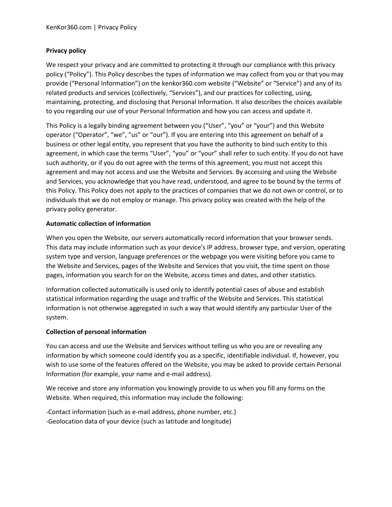### **Privacy policy**

We respect your privacy and are committed to protecting it through our compliance with this privacy policy ("Policy"). This Policy describes the types of information we may collect from you or that you may provide ("Personal Information") on the kenkor360.com website ("Website" or "Service") and any of its related products and services (collectively, "Services"), and our practices for collecting, using, maintaining, protecting, and disclosing that Personal Information. It also describes the choices available to you regarding our use of your Personal Information and how you can access and update it.

This Policy is a legally binding agreement between you ("User", "you" or "your") and this Website operator ("Operator", "we", "us" or "our"). If you are entering into this agreement on behalf of a business or other legal entity, you represent that you have the authority to bind such entity to this agreement, in which case the terms "User", "you" or "your" shall refer to such entity. If you do not have such authority, or if you do not agree with the terms of this agreement, you must not accept this agreement and may not access and use the Website and Services. By accessing and using the Website and Services, you acknowledge that you have read, understood, and agree to be bound by the terms of this Policy. This Policy does not apply to the practices of companies that we do not own or control, or to individuals that we do not employ or manage. This privacy policy was created with the help of the privacy policy generator.

### **Automatic collection of information**

When you open the Website, our servers automatically record information that your browser sends. This data may include information such as your device's IP address, browser type, and version, operating system type and version, language preferences or the webpage you were visiting before you came to the Website and Services, pages of the Website and Services that you visit, the time spent on those pages, information you search for on the Website, access times and dates, and other statistics.

Information collected automatically is used only to identify potential cases of abuse and establish statistical information regarding the usage and traffic of the Website and Services. This statistical information is not otherwise aggregated in such a way that would identify any particular User of the system.

#### **Collection of personal information**

You can access and use the Website and Services without telling us who you are or revealing any information by which someone could identify you as a specific, identifiable individual. If, however, you wish to use some of the features offered on the Website, you may be asked to provide certain Personal Information (for example, your name and e-mail address).

We receive and store any information you knowingly provide to us when you fill any forms on the Website. When required, this information may include the following:

-Contact information (such as e-mail address, phone number, etc.) -Geolocation data of your device (such as latitude and longitude)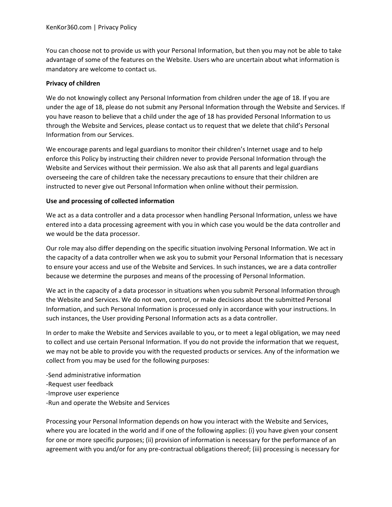You can choose not to provide us with your Personal Information, but then you may not be able to take advantage of some of the features on the Website. Users who are uncertain about what information is mandatory are welcome to contact us.

#### **Privacy of children**

We do not knowingly collect any Personal Information from children under the age of 18. If you are under the age of 18, please do not submit any Personal Information through the Website and Services. If you have reason to believe that a child under the age of 18 has provided Personal Information to us through the Website and Services, please contact us to request that we delete that child's Personal Information from our Services.

We encourage parents and legal guardians to monitor their children's Internet usage and to help enforce this Policy by instructing their children never to provide Personal Information through the Website and Services without their permission. We also ask that all parents and legal guardians overseeing the care of children take the necessary precautions to ensure that their children are instructed to never give out Personal Information when online without their permission.

### **Use and processing of collected information**

We act as a data controller and a data processor when handling Personal Information, unless we have entered into a data processing agreement with you in which case you would be the data controller and we would be the data processor.

Our role may also differ depending on the specific situation involving Personal Information. We act in the capacity of a data controller when we ask you to submit your Personal Information that is necessary to ensure your access and use of the Website and Services. In such instances, we are a data controller because we determine the purposes and means of the processing of Personal Information.

We act in the capacity of a data processor in situations when you submit Personal Information through the Website and Services. We do not own, control, or make decisions about the submitted Personal Information, and such Personal Information is processed only in accordance with your instructions. In such instances, the User providing Personal Information acts as a data controller.

In order to make the Website and Services available to you, or to meet a legal obligation, we may need to collect and use certain Personal Information. If you do not provide the information that we request, we may not be able to provide you with the requested products or services. Any of the information we collect from you may be used for the following purposes:

-Send administrative information -Request user feedback -Improve user experience -Run and operate the Website and Services

Processing your Personal Information depends on how you interact with the Website and Services, where you are located in the world and if one of the following applies: (i) you have given your consent for one or more specific purposes; (ii) provision of information is necessary for the performance of an agreement with you and/or for any pre-contractual obligations thereof; (iii) processing is necessary for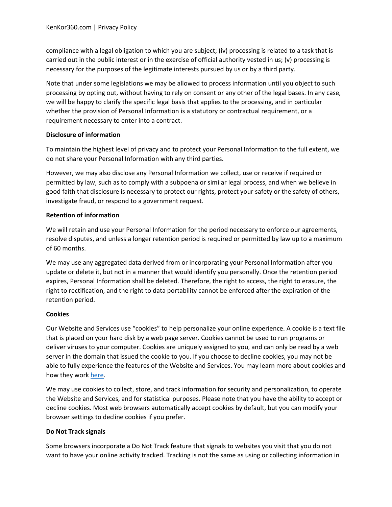compliance with a legal obligation to which you are subject; (iv) processing is related to a task that is carried out in the public interest or in the exercise of official authority vested in us; (v) processing is necessary for the purposes of the legitimate interests pursued by us or by a third party.

Note that under some legislations we may be allowed to process information until you object to such processing by opting out, without having to rely on consent or any other of the legal bases. In any case, we will be happy to clarify the specific legal basis that applies to the processing, and in particular whether the provision of Personal Information is a statutory or contractual requirement, or a requirement necessary to enter into a contract.

# **Disclosure of information**

To maintain the highest level of privacy and to protect your Personal Information to the full extent, we do not share your Personal Information with any third parties.

However, we may also disclose any Personal Information we collect, use or receive if required or permitted by law, such as to comply with a subpoena or similar legal process, and when we believe in good faith that disclosure is necessary to protect our rights, protect your safety or the safety of others, investigate fraud, or respond to a government request.

# **Retention of information**

We will retain and use your Personal Information for the period necessary to enforce our agreements, resolve disputes, and unless a longer retention period is required or permitted by law up to a maximum of 60 months.

We may use any aggregated data derived from or incorporating your Personal Information after you update or delete it, but not in a manner that would identify you personally. Once the retention period expires, Personal Information shall be deleted. Therefore, the right to access, the right to erasure, the right to rectification, and the right to data portability cannot be enforced after the expiration of the retention period.

# **Cookies**

Our Website and Services use "cookies" to help personalize your online experience. A cookie is a text file that is placed on your hard disk by a web page server. Cookies cannot be used to run programs or deliver viruses to your computer. Cookies are uniquely assigned to you, and can only be read by a web server in the domain that issued the cookie to you. If you choose to decline cookies, you may not be able to fully experience the features of the Website and Services. You may learn more about cookies and how they work [here.](https://www.websitepolicies.com/blog/sample-cookie-policy-template)

We may use cookies to collect, store, and track information for security and personalization, to operate the Website and Services, and for statistical purposes. Please note that you have the ability to accept or decline cookies. Most web browsers automatically accept cookies by default, but you can modify your browser settings to decline cookies if you prefer.

# **Do Not Track signals**

Some browsers incorporate a Do Not Track feature that signals to websites you visit that you do not want to have your online activity tracked. Tracking is not the same as using or collecting information in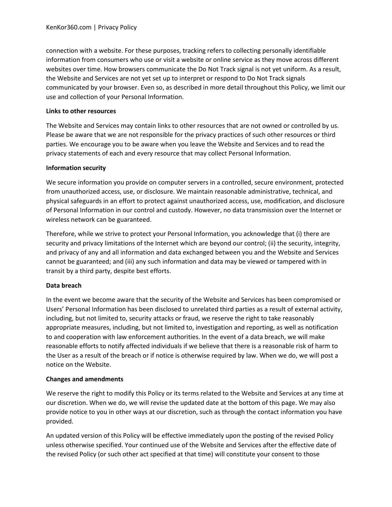connection with a website. For these purposes, tracking refers to collecting personally identifiable information from consumers who use or visit a website or online service as they move across different websites over time. How browsers communicate the Do Not Track signal is not yet uniform. As a result, the Website and Services are not yet set up to interpret or respond to Do Not Track signals communicated by your browser. Even so, as described in more detail throughout this Policy, we limit our use and collection of your Personal Information.

### **Links to other resources**

The Website and Services may contain links to other resources that are not owned or controlled by us. Please be aware that we are not responsible for the privacy practices of such other resources or third parties. We encourage you to be aware when you leave the Website and Services and to read the privacy statements of each and every resource that may collect Personal Information.

### **Information security**

We secure information you provide on computer servers in a controlled, secure environment, protected from unauthorized access, use, or disclosure. We maintain reasonable administrative, technical, and physical safeguards in an effort to protect against unauthorized access, use, modification, and disclosure of Personal Information in our control and custody. However, no data transmission over the Internet or wireless network can be guaranteed.

Therefore, while we strive to protect your Personal Information, you acknowledge that (i) there are security and privacy limitations of the Internet which are beyond our control; (ii) the security, integrity, and privacy of any and all information and data exchanged between you and the Website and Services cannot be guaranteed; and (iii) any such information and data may be viewed or tampered with in transit by a third party, despite best efforts.

# **Data breach**

In the event we become aware that the security of the Website and Services has been compromised or Users' Personal Information has been disclosed to unrelated third parties as a result of external activity, including, but not limited to, security attacks or fraud, we reserve the right to take reasonably appropriate measures, including, but not limited to, investigation and reporting, as well as notification to and cooperation with law enforcement authorities. In the event of a data breach, we will make reasonable efforts to notify affected individuals if we believe that there is a reasonable risk of harm to the User as a result of the breach or if notice is otherwise required by law. When we do, we will post a notice on the Website.

# **Changes and amendments**

We reserve the right to modify this Policy or its terms related to the Website and Services at any time at our discretion. When we do, we will revise the updated date at the bottom of this page. We may also provide notice to you in other ways at our discretion, such as through the contact information you have provided.

An updated version of this Policy will be effective immediately upon the posting of the revised Policy unless otherwise specified. Your continued use of the Website and Services after the effective date of the revised Policy (or such other act specified at that time) will constitute your consent to those